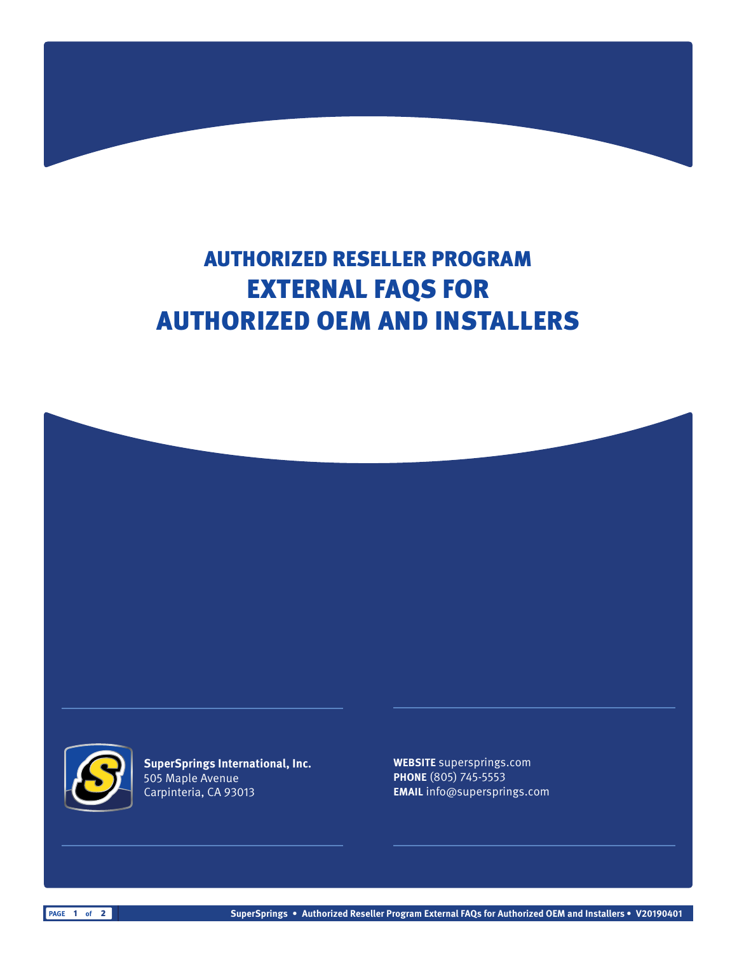# AUTHORIZED RESELLER PROGRAM EXTERNAL FAQS FOR AUTHORIZED OEM AND INSTALLERS





**SuperSprings International, Inc.** 505 Maple Avenue Carpinteria, CA 93013

**WEBSITE** supersprings.com **PHONE** (805) 745-5553 **EMAIL** info@supersprings.com